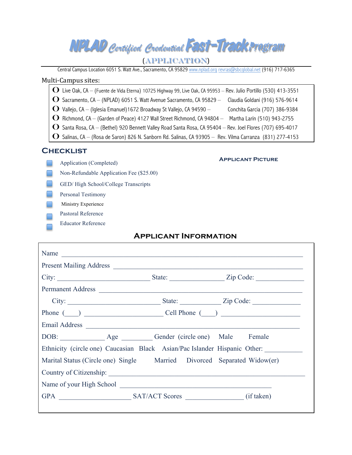| NPLAD Certified Credential FAST-Track Program |  |  |  |
|-----------------------------------------------|--|--|--|
|-----------------------------------------------|--|--|--|

#### (Application)!

Central Campus Location 6051 S. Watt Ave., Sacramento, CA 95829 www.nplad.org revras@sbcglobal.net (916) 717-6365

#### Multi-Campus sites:

| <b>O</b> Live Oak, CA - (Fuente de Vida Eterna) 10725 Highway 99, Live Oak, CA 95953 - Rev. Julio Portillo (530) 413-3551 |
|---------------------------------------------------------------------------------------------------------------------------|
| $\bullet$ Sacramento, CA – (NPLAD) 6051 S. Watt Avenue Sacramento, CA 95829 –<br>Claudia Goldani (916) 576-9614           |
| $\bullet$ Vallejo, CA – (Iglesia Emanuel) 1672 Broadway St Vallejo, CA 94590 –<br>Conchita Garcia (707) 386-9384          |
| $\bullet$ Richmond, CA – (Garden of Peace) 4127 Wall Street Richmond, CA 94804 –<br>Martha Larín (510) 943-2755           |
| $\bf{O}$ Santa Rosa, CA – (Bethel) 920 Bennett Valley Road Santa Rosa, CA 95404 – Rev. Joel Flores (707) 695-4017         |
| $\mid \bf{O}\>$ Salinas, CA – (Rosa de Saron) 826 N. Sanborn Rd. Salinas, CA 93905 – Rev. Vilma Carranza (831) 277-4153   |
|                                                                                                                           |

#### **Checklist**

- **Contract** Application (Completed)
	- Non-Refundable Application Fee (\$25.00)
- GED/ High School/College Transcripts
- Personal Testimony
- Ministry Experience
- Pastoral Reference
- Educator Reference

# **Applicant Information**

| Permanent Address |  |  |                                                                           |  |
|-------------------|--|--|---------------------------------------------------------------------------|--|
|                   |  |  |                                                                           |  |
|                   |  |  | Phone $(\_\_\)$ $\_\_\_\_\_$ Cell Phone $(\_\_\)$                         |  |
| Email Address     |  |  |                                                                           |  |
|                   |  |  |                                                                           |  |
|                   |  |  | Ethnicity (circle one) Caucasian Black Asian/Pac Islander Hispanic Other: |  |
|                   |  |  | Marital Status (Circle one) Single Married Divorced Separated Widow(er)   |  |
|                   |  |  |                                                                           |  |
|                   |  |  |                                                                           |  |
|                   |  |  |                                                                           |  |

#### **Applicant Picture**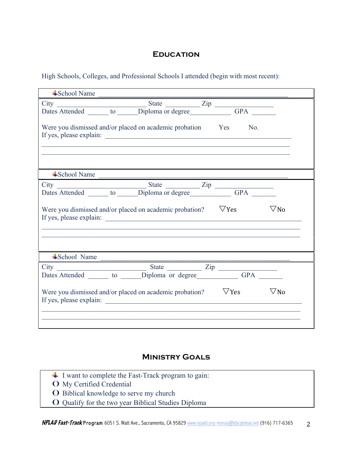## **Education**

High Schools, Colleges, and Professional Schools I attended (begin with most recent):

| $\triangle$ School Name                                              |                                                            |  |                                                                                                                  |
|----------------------------------------------------------------------|------------------------------------------------------------|--|------------------------------------------------------------------------------------------------------------------|
|                                                                      |                                                            |  |                                                                                                                  |
|                                                                      |                                                            |  |                                                                                                                  |
| Were you dismissed and/or placed on academic probation Yes No.       |                                                            |  |                                                                                                                  |
|                                                                      |                                                            |  |                                                                                                                  |
| $\triangle$ School Name                                              | <u> 1989 - Johann John Stein, markanistan bashkritik (</u> |  |                                                                                                                  |
|                                                                      |                                                            |  |                                                                                                                  |
|                                                                      |                                                            |  |                                                                                                                  |
| Were you dismissed and/or placed on academic probation? $\nabla$ Yes |                                                            |  | $\nabla$ No                                                                                                      |
| $\triangle$ School Name                                              |                                                            |  | and the control of the control of the control of the control of the control of the control of the control of the |
|                                                                      |                                                            |  |                                                                                                                  |
| City<br>Dates Attended to Diploma or degree Zip GPA                  |                                                            |  |                                                                                                                  |
| Were you dismissed and/or placed on academic probation? $\nabla$ Yes |                                                            |  | $\nabla$ No                                                                                                      |
|                                                                      |                                                            |  |                                                                                                                  |

## **Ministry Goals**

- $\overline{\phantom{a}}$  I want to complete the Fast-Track program to gain:
- O My Certified Credential
- o Biblical knowledge to serve my church
- o Qualify for the two year Biblical Studies Diploma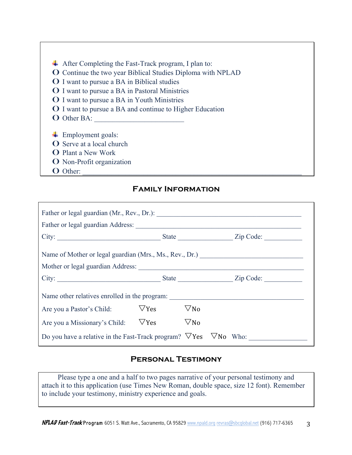- After Completing the Fast-Track program, I plan to:
- o Continue the two year Biblical Studies Diploma with NPLAD
- o I want to pursue a BA in Biblical studies
- o I want to pursue a BA in Pastoral Ministries
- **O** I want to pursue a BA in Youth Ministries
- o I want to pursue a BA and continue to Higher Education
- **O** Other BA:
- $\leftarrow$  Employment goals:
- **O** Serve at a local church
- **O** Plant a New Work
- o Non-Profit organization
- o Other: \_\_\_\_\_\_\_\_\_\_\_\_\_\_\_\_\_\_\_\_\_\_\_\_\_\_\_\_\_\_\_\_\_\_\_\_\_\_\_\_\_\_\_\_\_\_\_\_\_\_\_\_\_\_\_\_\_\_\_\_\_

## **Family Information**

| Are you a Pastor's Child: $\nabla$ Yes                                          |  | $\nabla$ No |  |  |  |
|---------------------------------------------------------------------------------|--|-------------|--|--|--|
| Are you a Missionary's Child: $\nabla$ Yes $\nabla$ No                          |  |             |  |  |  |
| Do you have a relative in the Fast-Track program? $\nabla$ Yes $\nabla$ No Who: |  |             |  |  |  |

## **Personal Testimony**

Please type a one and a half to two pages narrative of your personal testimony and attach it to this application (use Times New Roman, double space, size 12 font). Remember to include your testimony, ministry experience and goals.